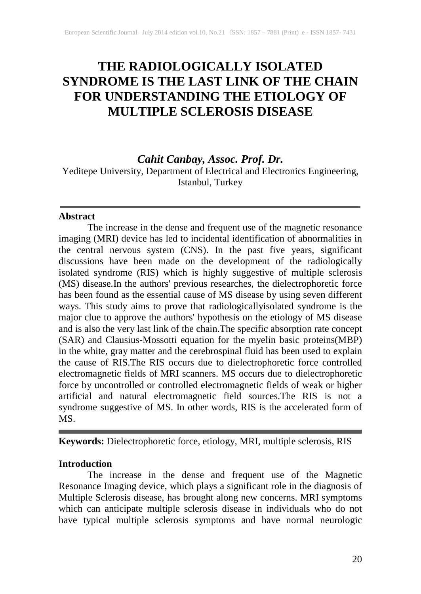# **THE RADIOLOGICALLY ISOLATED SYNDROME IS THE LAST LINK OF THE CHAIN FOR UNDERSTANDING THE ETIOLOGY OF MULTIPLE SCLEROSIS DISEASE**

*Cahit Canbay, Assoc. Prof. Dr.*

Yeditepe University, Department of Electrical and Electronics Engineering, Istanbul, Turkey

#### **Abstract**

The increase in the dense and frequent use of the magnetic resonance imaging (MRI) device has led to incidental identification of abnormalities in the central nervous system (CNS). In the past five years, significant discussions have been made on the development of the radiologically isolated syndrome (RIS) which is highly suggestive of multiple sclerosis (MS) disease.In the authors' previous researches, the dielectrophoretic force has been found as the essential cause of MS disease by using seven different ways. This study aims to prove that radiologicallyisolated syndrome is the major clue to approve the authors' hypothesis on the etiology of MS disease and is also the very last link of the chain.The specific absorption rate concept (SAR) and Clausius-Mossotti equation for the myelin basic proteins(MBP) in the white, gray matter and the cerebrospinal fluid has been used to explain the cause of RIS.The RIS occurs due to dielectrophoretic force controlled electromagnetic fields of MRI scanners. MS occurs due to dielectrophoretic force by uncontrolled or controlled electromagnetic fields of weak or higher artificial and natural electromagnetic field sources.The RIS is not a syndrome suggestive of MS. In other words, RIS is the accelerated form of MS.

**Keywords:** Dielectrophoretic force, etiology, MRI, multiple sclerosis, RIS

# **Introduction**

The increase in the dense and frequent use of the Magnetic Resonance Imaging device, which plays a significant role in the diagnosis of Multiple Sclerosis disease, has brought along new concerns. MRI symptoms which can anticipate multiple sclerosis disease in individuals who do not have typical multiple sclerosis symptoms and have normal neurologic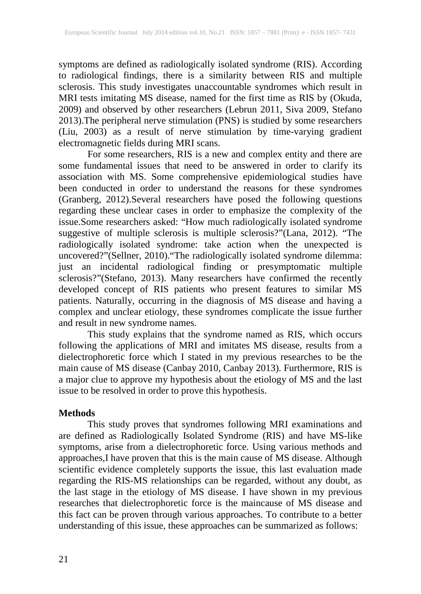symptoms are defined as radiologically isolated syndrome (RIS). According to radiological findings, there is a similarity between RIS and multiple sclerosis. This study investigates unaccountable syndromes which result in MRI tests imitating MS disease, named for the first time as RIS by (Okuda, 2009) and observed by other researchers (Lebrun 2011, Siva 2009, Stefano 2013).The peripheral nerve stimulation (PNS) is studied by some researchers (Liu, 2003) as a result of nerve stimulation by time-varying gradient electromagnetic fields during MRI scans.

For some researchers, RIS is a new and complex entity and there are some fundamental issues that need to be answered in order to clarify its association with MS. Some comprehensive epidemiological studies have been conducted in order to understand the reasons for these syndromes (Granberg, 2012).Several researchers have posed the following questions regarding these unclear cases in order to emphasize the complexity of the issue.Some researchers asked: "How much radiologically isolated syndrome suggestive of multiple sclerosis is multiple sclerosis?"(Lana, 2012). "The radiologically isolated syndrome: take action when the unexpected is uncovered?"(Sellner, 2010)."The radiologically isolated syndrome dilemma: just an incidental radiological finding or presymptomatic multiple sclerosis?"(Stefano, 2013). Many researchers have confirmed the recently developed concept of RIS patients who present features to similar MS patients. Naturally, occurring in the diagnosis of MS disease and having a complex and unclear etiology, these syndromes complicate the issue further and result in new syndrome names.

This study explains that the syndrome named as RIS, which occurs following the applications of MRI and imitates MS disease, results from a dielectrophoretic force which I stated in my previous researches to be the main cause of MS disease (Canbay 2010, Canbay 2013). Furthermore, RIS is a major clue to approve my hypothesis about the etiology of MS and the last issue to be resolved in order to prove this hypothesis.

#### **Methods**

This study proves that syndromes following MRI examinations and are defined as Radiologically Isolated Syndrome (RIS) and have MS-like symptoms, arise from a dielectrophoretic force. Using various methods and approaches,I have proven that this is the main cause of MS disease. Although scientific evidence completely supports the issue, this last evaluation made regarding the RIS-MS relationships can be regarded, without any doubt, as the last stage in the etiology of MS disease. I have shown in my previous researches that dielectrophoretic force is the maincause of MS disease and this fact can be proven through various approaches. To contribute to a better understanding of this issue, these approaches can be summarized as follows: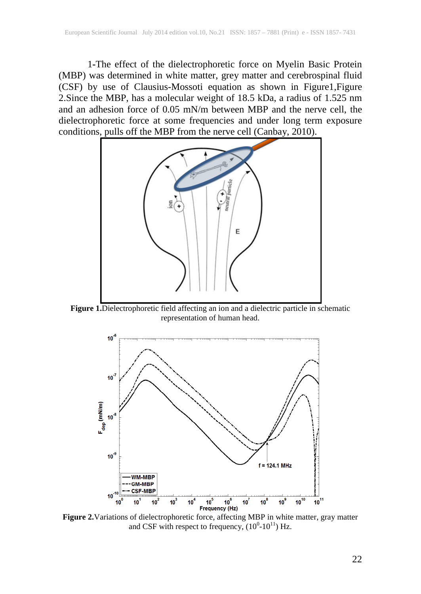1**-**The effect of the dielectrophoretic force on Myelin Basic Protein (MBP) was determined in white matter, grey matter and cerebrospinal fluid (CSF) by use of Clausius-Mossoti equation as shown in Figure1,Figure 2.Since the MBP, has a molecular weight of 18.5 kDa, a radius of 1.525 nm and an adhesion force of 0.05 mN/m between MBP and the nerve cell, the dielectrophoretic force at some frequencies and under long term exposure conditions, pulls off the MBP from the nerve cell (Canbay, 2010).



**Figure 1.**Dielectrophoretic field affecting an ion and a dielectric particle in schematic representation of human head.



**Figure 2.**Variations of dielectrophoretic force, affecting MBP in white matter, gray matter and CSF with respect to frequency,  $(10^{0} - 10^{11})$  Hz.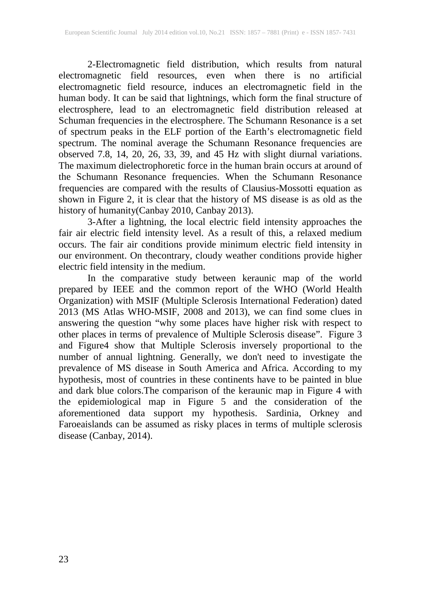2-Electromagnetic field distribution, which results from natural electromagnetic field resources, even when there is no artificial electromagnetic field resource, induces an electromagnetic field in the human body. It can be said that lightnings, which form the final structure of electrosphere, lead to an electromagnetic field distribution released at Schuman frequencies in the electrosphere. The Schumann Resonance is a set of spectrum peaks in the ELF portion of the Earth's electromagnetic field spectrum. The nominal average the Schumann Resonance frequencies are observed 7.8, 14, 20, 26, 33, 39, and 45 Hz with slight diurnal variations. The maximum dielectrophoretic force in the human brain occurs at around of the Schumann Resonance frequencies. When the Schumann Resonance frequencies are compared with the results of Clausius-Mossotti equation as shown in Figure 2, it is clear that the history of MS disease is as old as the history of humanity(Canbay 2010, Canbay 2013).

3-After a lightning, the local electric field intensity approaches the fair air electric field intensity level. As a result of this, a relaxed medium occurs. The fair air conditions provide minimum electric field intensity in our environment. On thecontrary, cloudy weather conditions provide higher electric field intensity in the medium.

In the comparative study between keraunic map of the world prepared by IEEE and the common report of the WHO (World Health Organization) with MSIF (Multiple Sclerosis International Federation) dated 2013 (MS Atlas WHO-MSIF, 2008 and 2013), we can find some clues in answering the question "why some places have higher risk with respect to other places in terms of prevalence of Multiple Sclerosis disease". Figure 3 and Figure4 show that Multiple Sclerosis inversely proportional to the number of annual lightning. Generally, we don't need to investigate the prevalence of MS disease in South America and Africa. According to my hypothesis, most of countries in these continents have to be painted in blue and dark blue colors.The comparison of the keraunic map in Figure 4 with the epidemiological map in Figure 5 and the consideration of the aforementioned data support my hypothesis. Sardinia, Orkney and Faroeaislands can be assumed as risky places in terms of multiple sclerosis disease (Canbay, 2014).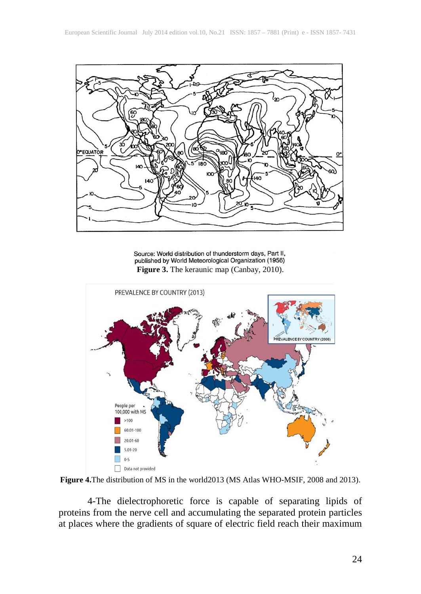

Source: World distribution of thunderstorm days, Part II, published by World Meteorological Organization (1956) **Figure 3.** The keraunic map (Canbay, 2010).



**Figure 4.**The distribution of MS in the world2013 (MS Atlas WHO-MSIF, 2008 and 2013).

4-The dielectrophoretic force is capable of separating lipids of proteins from the nerve cell and accumulating the separated protein particles at places where the gradients of square of electric field reach their maximum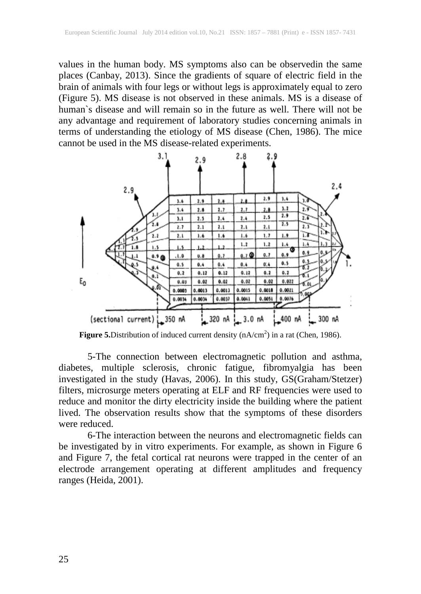values in the human body. MS symptoms also can be observedin the same places (Canbay, 2013). Since the gradients of square of electric field in the brain of animals with four legs or without legs is approximately equal to zero (Figure 5). MS disease is not observed in these animals. MS is a disease of human`s disease and will remain so in the future as well. There will not be any advantage and requirement of laboratory studies concerning animals in terms of understanding the etiology of MS disease (Chen, 1986). The mice cannot be used in the MS disease-related experiments.



Figure 5. Distribution of induced current density (nA/cm<sup>2</sup>) in a rat (Chen, 1986).

5-The connection between electromagnetic pollution and asthma, diabetes, multiple sclerosis, chronic fatigue, fibromyalgia has been investigated in the study (Havas, 2006). In this study, GS(Graham/Stetzer) filters, microsurge meters operating at ELF and RF frequencies were used to reduce and monitor the dirty electricity inside the building where the patient lived. The observation results show that the symptoms of these disorders were reduced.

6-The interaction between the neurons and electromagnetic fields can be investigated by in vitro experiments. For example, as shown in Figure 6 and Figure 7, the fetal cortical rat neurons were trapped in the center of an electrode arrangement operating at different amplitudes and frequency ranges (Heida, 2001).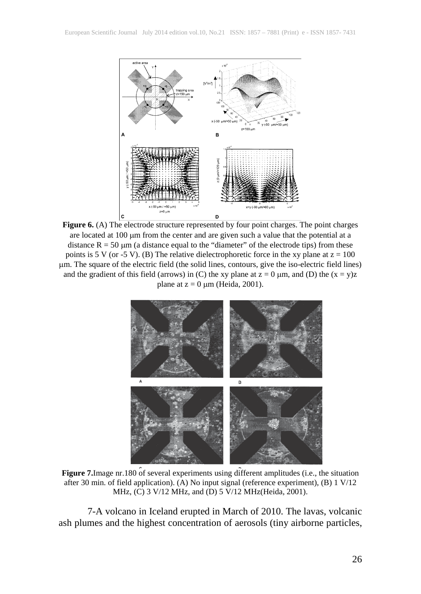

Figure 6. (A) The electrode structure represented by four point charges. The point charges are located at 100  $\mu$ m from the center and are given such a value that the potential at a distance  $R = 50 \mu m$  (a distance equal to the "diameter" of the electrode tips) from these points is 5 V (or -5 V). (B) The relative dielectrophoretic force in the xy plane at  $z = 100$ µm. The square of the electric field (the solid lines, contours, give the iso-electric field lines) and the gradient of this field (arrows) in (C) the xy plane at  $z = 0 \mu m$ , and (D) the  $(x = y)z$ plane at  $z = 0 \mu m$  (Heida, 2001).



**Figure 7.**Image nr.180 of several experiments using different amplitudes (i.e., the situation after 30 min. of field application). (A) No input signal (reference experiment), (B) 1 V/12 MHz, (C) 3 V/12 MHz, and (D) 5 V/12 MHz(Heida, 2001).

7-A volcano in Iceland erupted in March of 2010. The lavas, volcanic ash plumes and the highest concentration of aerosols (tiny airborne particles,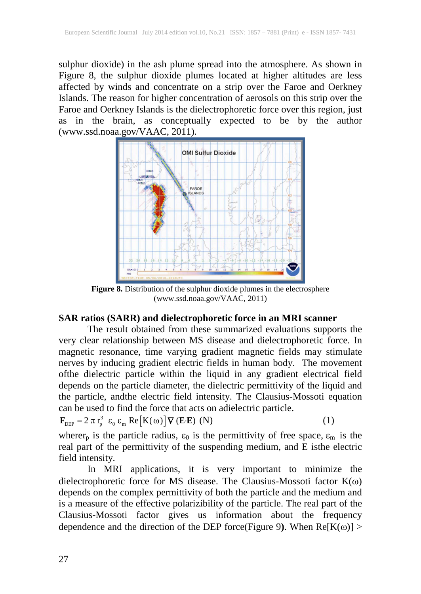sulphur dioxide) in the ash plume spread into the atmosphere. As shown in Figure 8, the sulphur dioxide plumes located at higher altitudes are less affected by winds and concentrate on a strip over the Faroe and Oerkney Islands. The reason for higher concentration of aerosols on this strip over the Faroe and Oerkney Islands is the dielectrophoretic force over this region, just as in the brain, as conceptually expected to be by the author (www.ssd.noaa.gov/VAAC, 2011).



Figure 8. Distribution of the sulphur dioxide plumes in the electrosphere (www.ssd.noaa.gov/VAAC, 2011)

# **SAR ratios (SARR) and dielectrophoretic force in an MRI scanner**

The result obtained from these summarized evaluations supports the very clear relationship between MS disease and dielectrophoretic force. In magnetic resonance, time varying gradient magnetic fields may stimulate nerves by inducing gradient electric fields in human body. The movement ofthe dielectric particle within the liquid in any gradient electrical field depends on the particle diameter, the dielectric permittivity of the liquid and the particle, andthe electric field intensity. The Clausius-Mossoti equation can be used to find the force that acts on adielectric particle.

$$
\mathbf{F}_{\text{DEP}} = 2 \pi r_{p}^{3} \varepsilon_{0} \varepsilon_{m} \text{Re}[K(\omega)] \nabla (\mathbf{E} \cdot \mathbf{E}) \text{ (N)}
$$
 (1)

wherer<sub>p</sub> is the particle radius,  $\varepsilon_0$  is the permittivity of free space,  $\varepsilon_m$  is the real part of the permittivity of the suspending medium, and E isthe electric field intensity.

In MRI applications, it is very important to minimize the dielectrophoretic force for MS disease. The Clausius-Mossoti factor K(ω) depends on the complex permittivity of both the particle and the medium and is a measure of the effective polarizibility of the particle. The real part of the Clausius-Mossoti factor gives us information about the frequency dependence and the direction of the DEP force(Figure 9). When  $Re[K(\omega)] >$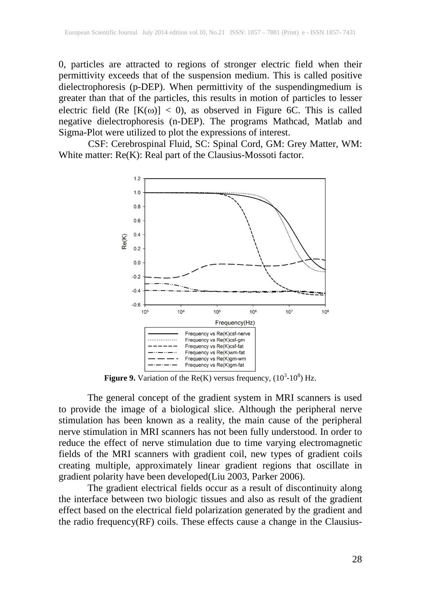0, particles are attracted to regions of stronger electric field when their permittivity exceeds that of the suspension medium. This is called positive dielectrophoresis (p-DEP). When permittivity of the suspendingmedium is greater than that of the particles, this results in motion of particles to lesser electric field (Re  $[K(\omega)] < 0$ ), as observed in Figure 6C. This is called negative dielectrophoresis (n-DEP). The programs Mathcad, Matlab and Sigma-Plot were utilized to plot the expressions of interest.

CSF: Cerebrospinal Fluid, SC: Spinal Cord, GM: Grey Matter, WM: White matter: Re(K): Real part of the Clausius-Mossoti factor.



**Figure 9.** Variation of the Re(K) versus frequency,  $(10^3 \text{-} 10^8)$  Hz.

The general concept of the gradient system in MRI scanners is used to provide the image of a biological slice. Although the peripheral nerve stimulation has been known as a reality, the main cause of the peripheral nerve stimulation in MRI scanners has not been fully understood. In order to reduce the effect of nerve stimulation due to time varying electromagnetic fields of the MRI scanners with gradient coil, new types of gradient coils creating multiple, approximately linear gradient regions that oscillate in gradient polarity have been developed(Liu 2003, Parker 2006).

The gradient electrical fields occur as a result of discontinuity along the interface between two biologic tissues and also as result of the gradient effect based on the electrical field polarization generated by the gradient and the radio frequency(RF) coils. These effects cause a change in the Clausius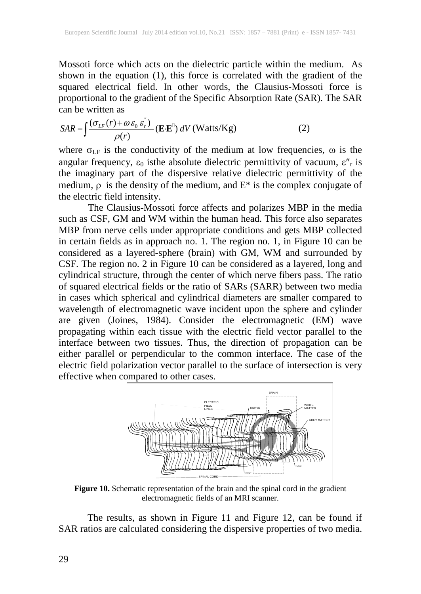Mossoti force which acts on the dielectric particle within the medium. As shown in the equation (1), this force is correlated with the gradient of the squared electrical field. In other words, the Clausius-Mossoti force is proportional to the gradient of the Specific Absorption Rate (SAR). The SAR can be written as

$$
SAR = \int \frac{(\sigma_{LF}(r) + \omega \varepsilon_0 \varepsilon_r^{\prime})}{\rho(r)} \left( \mathbf{E} \cdot \mathbf{E}^{\mathbb{D}} \right) dV \text{ (Watts/Kg)} \tag{2}
$$

where  $\sigma_{LF}$  is the conductivity of the medium at low frequencies,  $\omega$  is the angular frequency,  $\varepsilon_0$  is the absolute dielectric permittivity of vacuum,  $\varepsilon''_r$  is the imaginary part of the dispersive relative dielectric permittivity of the medium,  $\rho$  is the density of the medium, and  $E^*$  is the complex conjugate of the electric field intensity.

The Clausius-Mossoti force affects and polarizes MBP in the media such as CSF, GM and WM within the human head. This force also separates MBP from nerve cells under appropriate conditions and gets MBP collected in certain fields as in approach no. 1. The region no. 1, in Figure 10 can be considered as a layered-sphere (brain) with GM, WM and surrounded by CSF. The region no. 2 in Figure 10 can be considered as a layered, long and cylindrical structure, through the center of which nerve fibers pass. The ratio of squared electrical fields or the ratio of SARs (SARR) between two media in cases which spherical and cylindrical diameters are smaller compared to wavelength of electromagnetic wave incident upon the sphere and cylinder are given (Joines, 1984). Consider the electromagnetic (EM) wave propagating within each tissue with the electric field vector parallel to the interface between two tissues. Thus, the direction of propagation can be either parallel or perpendicular to the common interface. The case of the electric field polarization vector parallel to the surface of intersection is very effective when compared to other cases.



**Figure 10.** Schematic representation of the brain and the spinal cord in the gradient electromagnetic fields of an MRI scanner.

The results, as shown in Figure 11 and Figure 12, can be found if SAR ratios are calculated considering the dispersive properties of two media.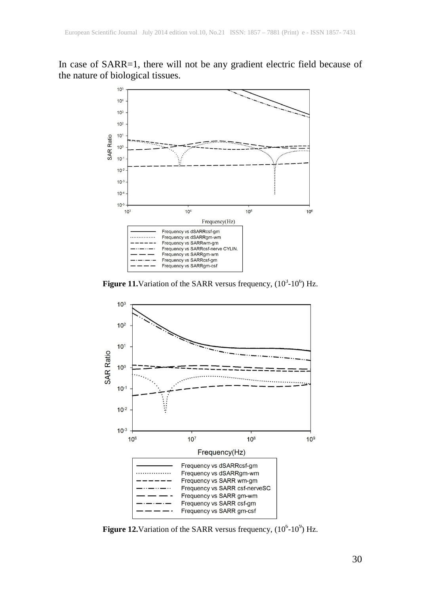In case of SARR=1, there will not be any gradient electric field because of the nature of biological tissues.



**Figure 11.** Variation of the SARR versus frequency,  $(10^3\t{-}10^6)$  Hz.



**Figure 12.** Variation of the SARR versus frequency,  $(10^6 \text{-} 10^9)$  Hz.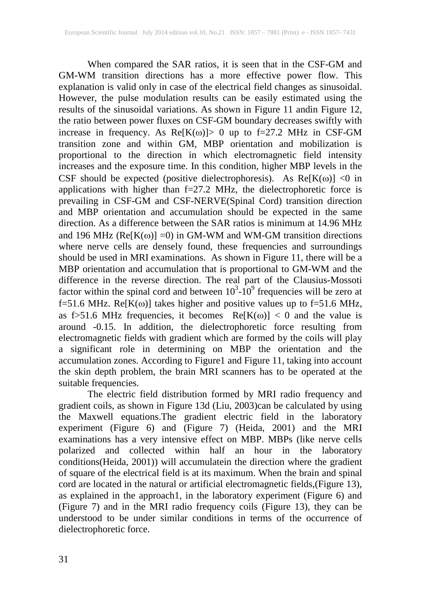When compared the SAR ratios, it is seen that in the CSF-GM and GM-WM transition directions has a more effective power flow. This explanation is valid only in case of the electrical field changes as sinusoidal. However, the pulse modulation results can be easily estimated using the results of the sinusoidal variations. As shown in Figure 11 andin Figure 12, the ratio between power fluxes on CSF-GM boundary decreases swiftly with increase in frequency. As  $Re[K(\omega)] > 0$  up to f=27.2 MHz in CSF-GM transition zone and within GM, MBP orientation and mobilization is proportional to the direction in which electromagnetic field intensity increases and the exposure time. In this condition, higher MBP levels in the CSF should be expected (positive dielectrophoresis). As  $Re[K(\omega)] \le 0$  in applications with higher than f=27.2 MHz, the dielectrophoretic force is prevailing in CSF-GM and CSF-NERVE(Spinal Cord) transition direction and MBP orientation and accumulation should be expected in the same direction. As a difference between the SAR ratios is minimum at 14.96 MHz and 196 MHz ( $Re[K(\omega)] = 0$ ) in GM-WM and WM-GM transition directions where nerve cells are densely found, these frequencies and surroundings should be used in MRI examinations. As shown in Figure 11, there will be a MBP orientation and accumulation that is proportional to GM-WM and the difference in the reverse direction. The real part of the Clausius-Mossoti factor within the spinal cord and between  $10^3$ - $10^9$  frequencies will be zero at f=51.6 MHz. Re[ $\hat{K}(\omega)$ ] takes higher and positive values up to f=51.6 MHz, as f>51.6 MHz frequencies, it becomes  $Re[K(\omega)] < 0$  and the value is around -0.15. In addition, the dielectrophoretic force resulting from electromagnetic fields with gradient which are formed by the coils will play a significant role in determining on MBP the orientation and the accumulation zones. According to Figure1 and Figure 11, taking into account the skin depth problem, the brain MRI scanners has to be operated at the suitable frequencies.

The electric field distribution formed by MRI radio frequency and gradient coils, as shown in Figure 13d (Liu, 2003)can be calculated by using the Maxwell equations.The gradient electric field in the laboratory experiment (Figure 6) and (Figure 7) (Heida, 2001) and the MRI examinations has a very intensive effect on MBP. MBPs (like nerve cells polarized and collected within half an hour in the laboratory conditions(Heida, 2001)) will accumulatein the direction where the gradient of square of the electrical field is at its maximum. When the brain and spinal cord are located in the natural or artificial electromagnetic fields,(Figure 13), as explained in the approach1, in the laboratory experiment (Figure 6) and (Figure 7) and in the MRI radio frequency coils (Figure 13), they can be understood to be under similar conditions in terms of the occurrence of dielectrophoretic force.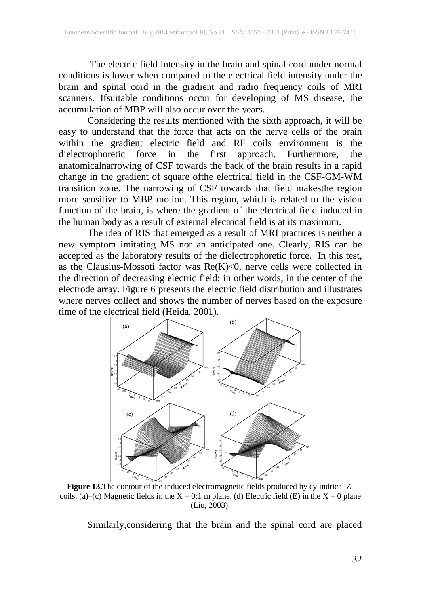The electric field intensity in the brain and spinal cord under normal conditions is lower when compared to the electrical field intensity under the brain and spinal cord in the gradient and radio frequency coils of MRI scanners. Ifsuitable conditions occur for developing of MS disease, the accumulation of MBP will also occur over the years.

Considering the results mentioned with the sixth approach, it will be easy to understand that the force that acts on the nerve cells of the brain within the gradient electric field and RF coils environment is the dielectrophoretic force in the first approach. Furthermore, the in the first approach. Furthermore, the anatomicalnarrowing of CSF towards the back of the brain results in a rapid change in the gradient of square ofthe electrical field in the CSF-GM-WM transition zone. The narrowing of CSF towards that field makesthe region more sensitive to MBP motion. This region, which is related to the vision function of the brain, is where the gradient of the electrical field induced in the human body as a result of external electrical field is at its maximum.

The idea of RIS that emerged as a result of MRI practices is neither a new symptom imitating MS nor an anticipated one. Clearly, RIS can be accepted as the laboratory results of the dielectrophoretic force. In this test, as the Clausius-Mossoti factor was  $Re(K) < 0$ , nerve cells were collected in the direction of decreasing electric field; in other words, in the center of the electrode array. Figure 6 presents the electric field distribution and illustrates where nerves collect and shows the number of nerves based on the exposure time of the electrical field (Heida, 2001).



**Figure 13.**The contour of the induced electromagnetic fields produced by cylindrical Zcoils. (a)–(c) Magnetic fields in the  $X = 0.1$  m plane. (d) Electric field (E) in the  $X = 0$  plane (Liu, 2003).

Similarly,considering that the brain and the spinal cord are placed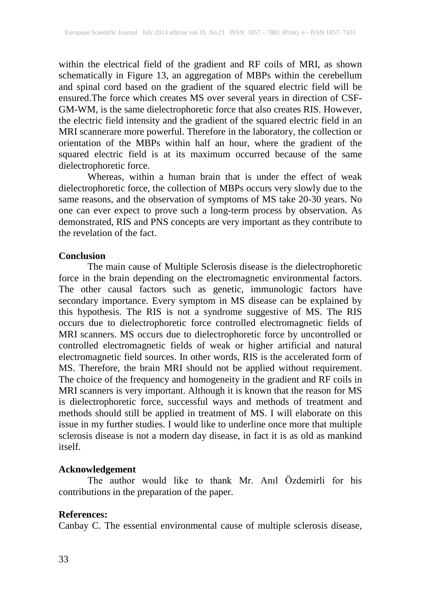within the electrical field of the gradient and RF coils of MRI, as shown schematically in Figure 13, an aggregation of MBPs within the cerebellum and spinal cord based on the gradient of the squared electric field will be ensured.The force which creates MS over several years in direction of CSF-GM-WM, is the same dielectrophoretic force that also creates RIS. However, the electric field intensity and the gradient of the squared electric field in an MRI scannerare more powerful. Therefore in the laboratory, the collection or orientation of the MBPs within half an hour, where the gradient of the squared electric field is at its maximum occurred because of the same dielectrophoretic force.

Whereas, within a human brain that is under the effect of weak dielectrophoretic force, the collection of MBPs occurs very slowly due to the same reasons, and the observation of symptoms of MS take 20-30 years. No one can ever expect to prove such a long-term process by observation. As demonstrated, RIS and PNS concepts are very important as they contribute to the revelation of the fact.

#### **Conclusion**

The main cause of Multiple Sclerosis disease is the dielectrophoretic force in the brain depending on the electromagnetic environmental factors. The other causal factors such as genetic, immunologic factors have secondary importance. Every symptom in MS disease can be explained by this hypothesis. The RIS is not a syndrome suggestive of MS. The RIS occurs due to dielectrophoretic force controlled electromagnetic fields of MRI scanners. MS occurs due to dielectrophoretic force by uncontrolled or controlled electromagnetic fields of weak or higher artificial and natural electromagnetic field sources. In other words, RIS is the accelerated form of MS. Therefore, the brain MRI should not be applied without requirement. The choice of the frequency and homogeneity in the gradient and RF coils in MRI scanners is very important. Although it is known that the reason for MS is dielectrophoretic force, successful ways and methods of treatment and methods should still be applied in treatment of MS. I will elaborate on this issue in my further studies. I would like to underline once more that multiple sclerosis disease is not a modern day disease, in fact it is as old as mankind itself.

# **Acknowledgement**

The author would like to thank Mr. Anıl Özdemirli for his contributions in the preparation of the paper.

#### **References:**

Canbay C. The essential environmental cause of multiple sclerosis disease,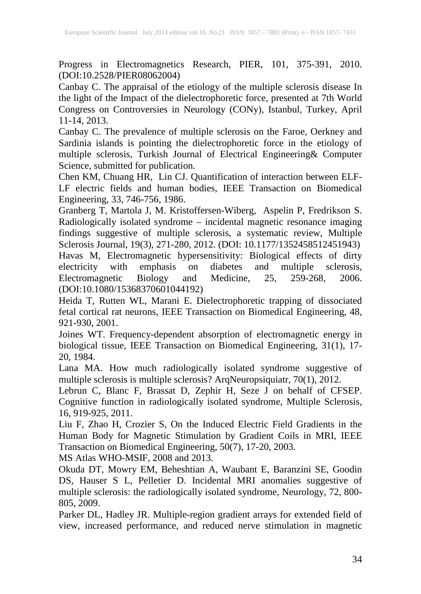Progress in Electromagnetics Research, PIER, 101, 375-391, 2010. (DOI:10.2528/PIER08062004)

Canbay C. The appraisal of the etiology of the multiple sclerosis disease In the light of the Impact of the dielectrophoretic force, presented at 7th World Congress on Controversies in Neurology (CONy), Istanbul, Turkey, April 11-14, 2013.

Canbay C. The prevalence of multiple sclerosis on the Faroe, Oerkney and Sardinia islands is pointing the dielectrophoretic force in the etiology of multiple sclerosis, Turkish Journal of Electrical Engineering& Computer Science, submitted for publication.

Chen KM, Chuang HR, Lin CJ. Quantification of interaction between ELF-LF electric fields and human bodies, IEEE Transaction on Biomedical Engineering, 33, 746-756, 1986.

Granberg T, Martola J, M. Kristoffersen-Wiberg, Aspelin P, Fredrikson S. Radiologically isolated syndrome – incidental magnetic resonance imaging findings suggestive of multiple sclerosis, a systematic review, Multiple Sclerosis Journal, 19(3), 271-280, 2012. (DOI: 10.1177/1352458512451943) Havas M, Electromagnetic hypersensitivity: Biological effects of dirty electricity with emphasis on diabetes and multiple sclerosis,<br>Electromagnetic Biology and Medicine, 25, 259-268, 2006. Electromagnetic Biology and Medicine, 25, 259-268, 2006. (DOI:10.1080/15368370601044192)

Heida T, Rutten WL, Marani E. Dielectrophoretic trapping of dissociated fetal cortical rat neurons, IEEE Transaction on Biomedical Engineering, 48, 921-930, 2001.

Joines WT. Frequency-dependent absorption of electromagnetic energy in biological tissue, IEEE Transaction on Biomedical Engineering, 31(1), 17- 20, 1984.

Lana MA. How much radiologically isolated syndrome suggestive of multiple sclerosis is multiple sclerosis? ArqNeuropsiquiatr, 70(1), 2012.

Lebrun C, Blanc F, Brassat D, Zephir H, Seze J on behalf of CFSEP. Cognitive function in radiologically isolated syndrome, Multiple Sclerosis, 16, 919-925, 2011.

Liu F, Zhao H, Crozier S, On the Induced Electric Field Gradients in the Human Body for Magnetic Stimulation by Gradient Coils in MRI, IEEE Transaction on Biomedical Engineering, 50(7), 17-20, 2003.

MS Atlas WHO-MSIF, 2008 and 2013.

Okuda DT, Mowry EM, Beheshtian A, Waubant E, Baranzini SE, Goodin DS, Hauser S L, Pelletier D. Incidental MRI anomalies suggestive of multiple sclerosis: the radiologically isolated syndrome, Neurology, 72, 800-805, 2009.

Parker DL, Hadley JR. Multiple-region gradient arrays for extended field of view, increased performance, and reduced nerve stimulation in magnetic